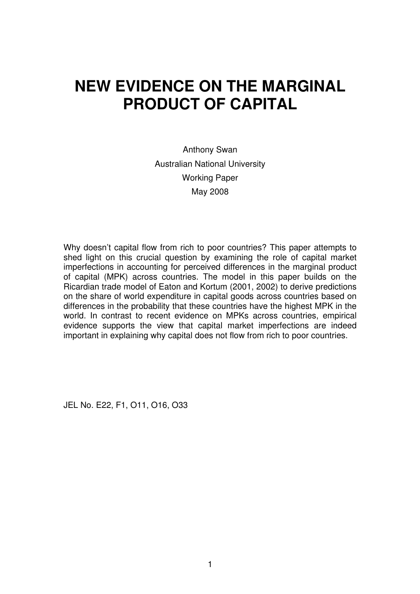# **NEW EVIDENCE ON THE MARGINAL PRODUCT OF CAPITAL**

Anthony Swan Australian National University Working Paper May 2008

Why doesn't capital flow from rich to poor countries? This paper attempts to shed light on this crucial question by examining the role of capital market imperfections in accounting for perceived differences in the marginal product of capital (MPK) across countries. The model in this paper builds on the Ricardian trade model of Eaton and Kortum (2001, 2002) to derive predictions on the share of world expenditure in capital goods across countries based on differences in the probability that these countries have the highest MPK in the world. In contrast to recent evidence on MPKs across countries, empirical evidence supports the view that capital market imperfections are indeed important in explaining why capital does not flow from rich to poor countries.

JEL No. E22, F1, O11, O16, O33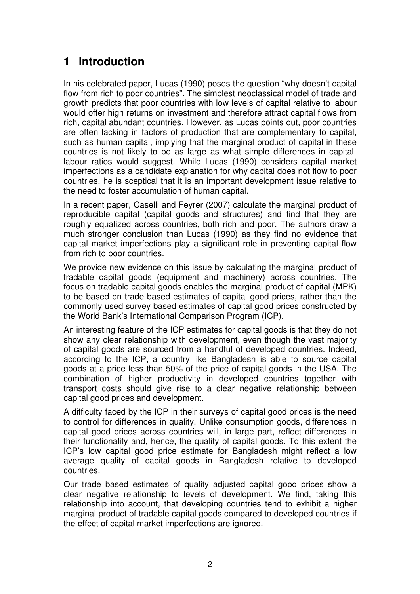### **1 Introduction**

In his celebrated paper, Lucas (1990) poses the question "why doesn't capital flow from rich to poor countries". The simplest neoclassical model of trade and growth predicts that poor countries with low levels of capital relative to labour would offer high returns on investment and therefore attract capital flows from rich, capital abundant countries. However, as Lucas points out, poor countries are often lacking in factors of production that are complementary to capital, such as human capital, implying that the marginal product of capital in these countries is not likely to be as large as what simple differences in capitallabour ratios would suggest. While Lucas (1990) considers capital market imperfections as a candidate explanation for why capital does not flow to poor countries, he is sceptical that it is an important development issue relative to the need to foster accumulation of human capital.

In a recent paper, Caselli and Feyrer (2007) calculate the marginal product of reproducible capital (capital goods and structures) and find that they are roughly equalized across countries, both rich and poor. The authors draw a much stronger conclusion than Lucas (1990) as they find no evidence that capital market imperfections play a significant role in preventing capital flow from rich to poor countries.

We provide new evidence on this issue by calculating the marginal product of tradable capital goods (equipment and machinery) across countries. The focus on tradable capital goods enables the marginal product of capital (MPK) to be based on trade based estimates of capital good prices, rather than the commonly used survey based estimates of capital good prices constructed by the World Bank's International Comparison Program (ICP).

An interesting feature of the ICP estimates for capital goods is that they do not show any clear relationship with development, even though the vast majority of capital goods are sourced from a handful of developed countries. Indeed, according to the ICP, a country like Bangladesh is able to source capital goods at a price less than 50% of the price of capital goods in the USA. The combination of higher productivity in developed countries together with transport costs should give rise to a clear negative relationship between capital good prices and development.

A difficulty faced by the ICP in their surveys of capital good prices is the need to control for differences in quality. Unlike consumption goods, differences in capital good prices across countries will, in large part, reflect differences in their functionality and, hence, the quality of capital goods. To this extent the ICP's low capital good price estimate for Bangladesh might reflect a low average quality of capital goods in Bangladesh relative to developed countries.

Our trade based estimates of quality adjusted capital good prices show a clear negative relationship to levels of development. We find, taking this relationship into account, that developing countries tend to exhibit a higher marginal product of tradable capital goods compared to developed countries if the effect of capital market imperfections are ignored.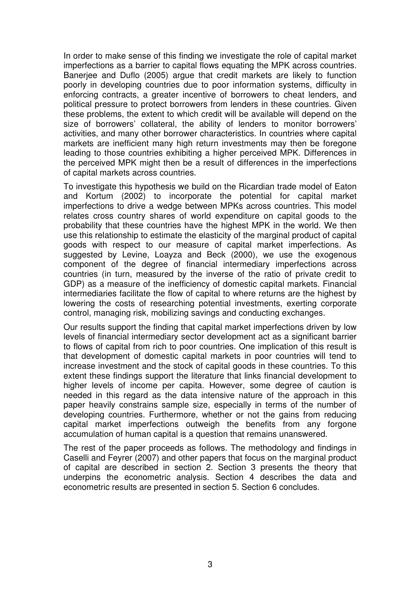In order to make sense of this finding we investigate the role of capital market imperfections as a barrier to capital flows equating the MPK across countries. Banerjee and Duflo (2005) argue that credit markets are likely to function poorly in developing countries due to poor information systems, difficulty in enforcing contracts, a greater incentive of borrowers to cheat lenders, and political pressure to protect borrowers from lenders in these countries. Given these problems, the extent to which credit will be available will depend on the size of borrowers' collateral, the ability of lenders to monitor borrowers' activities, and many other borrower characteristics. In countries where capital markets are inefficient many high return investments may then be foregone leading to those countries exhibiting a higher perceived MPK. Differences in the perceived MPK might then be a result of differences in the imperfections of capital markets across countries.

To investigate this hypothesis we build on the Ricardian trade model of Eaton and Kortum (2002) to incorporate the potential for capital market imperfections to drive a wedge between MPKs across countries. This model relates cross country shares of world expenditure on capital goods to the probability that these countries have the highest MPK in the world. We then use this relationship to estimate the elasticity of the marginal product of capital goods with respect to our measure of capital market imperfections. As suggested by Levine, Loayza and Beck (2000), we use the exogenous component of the degree of financial intermediary imperfections across countries (in turn, measured by the inverse of the ratio of private credit to GDP) as a measure of the inefficiency of domestic capital markets. Financial intermediaries facilitate the flow of capital to where returns are the highest by lowering the costs of researching potential investments, exerting corporate control, managing risk, mobilizing savings and conducting exchanges.

Our results support the finding that capital market imperfections driven by low levels of financial intermediary sector development act as a significant barrier to flows of capital from rich to poor countries. One implication of this result is that development of domestic capital markets in poor countries will tend to increase investment and the stock of capital goods in these countries. To this extent these findings support the literature that links financial development to higher levels of income per capita. However, some degree of caution is needed in this regard as the data intensive nature of the approach in this paper heavily constrains sample size, especially in terms of the number of developing countries. Furthermore, whether or not the gains from reducing capital market imperfections outweigh the benefits from any forgone accumulation of human capital is a question that remains unanswered.

The rest of the paper proceeds as follows. The methodology and findings in Caselli and Feyrer (2007) and other papers that focus on the marginal product of capital are described in section 2. Section 3 presents the theory that underpins the econometric analysis. Section 4 describes the data and econometric results are presented in section 5. Section 6 concludes.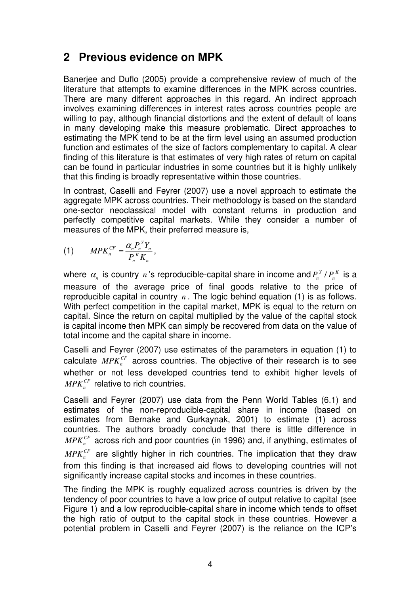#### **2 Previous evidence on MPK**

Banerjee and Duflo (2005) provide a comprehensive review of much of the literature that attempts to examine differences in the MPK across countries. There are many different approaches in this regard. An indirect approach involves examining differences in interest rates across countries people are willing to pay, although financial distortions and the extent of default of loans in many developing make this measure problematic. Direct approaches to estimating the MPK tend to be at the firm level using an assumed production function and estimates of the size of factors complementary to capital. A clear finding of this literature is that estimates of very high rates of return on capital can be found in particular industries in some countries but it is highly unlikely that this finding is broadly representative within those countries.

In contrast, Caselli and Feyrer (2007) use a novel approach to estimate the aggregate MPK across countries. Their methodology is based on the standard one-sector neoclassical model with constant returns in production and perfectly competitive capital markets. While they consider a number of measures of the MPK, their preferred measure is,

$$
(1) \qquad M P K_n^{CF} = \frac{\alpha_n P_n^Y Y_n}{P_n^K K_n},
$$

where  $\alpha_n$  is country n's reproducible-capital share in income and  $P_n^Y$  /  $P_n^K$  is a measure of the average price of final goods relative to the price of reproducible capital in country *n* . The logic behind equation (1) is as follows. With perfect competition in the capital market, MPK is equal to the return on capital. Since the return on capital multiplied by the value of the capital stock is capital income then MPK can simply be recovered from data on the value of total income and the capital share in income.

Caselli and Feyrer (2007) use estimates of the parameters in equation (1) to calculate  $MPK_n^{CF}$  across countries. The objective of their research is to see whether or not less developed countries tend to exhibit higher levels of  $MPK_n^{CF}$  relative to rich countries.

Caselli and Feyrer (2007) use data from the Penn World Tables (6.1) and estimates of the non-reproducible-capital share in income (based on estimates from Bernake and Gurkaynak, 2001) to estimate (1) across countries. The authors broadly conclude that there is little difference in  $MPK_n^{CF}$  across rich and poor countries (in 1996) and, if anything, estimates of  $MPK_n^{CF}$  are slightly higher in rich countries. The implication that they draw from this finding is that increased aid flows to developing countries will not significantly increase capital stocks and incomes in these countries.

The finding the MPK is roughly equalized across countries is driven by the tendency of poor countries to have a low price of output relative to capital (see Figure 1) and a low reproducible-capital share in income which tends to offset the high ratio of output to the capital stock in these countries. However a potential problem in Caselli and Feyrer (2007) is the reliance on the ICP's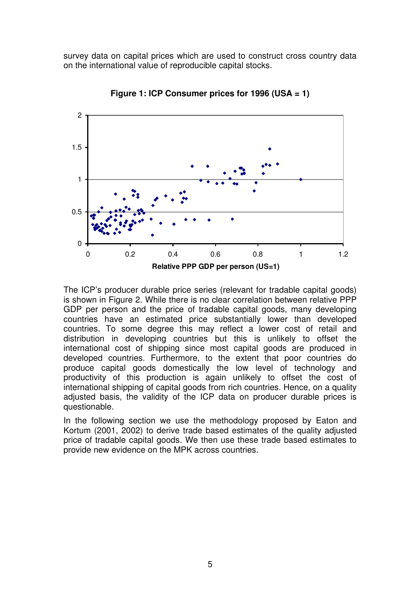survey data on capital prices which are used to construct cross country data on the international value of reproducible capital stocks.



**Figure 1: ICP Consumer prices for 1996 (USA = 1)** 

The ICP's producer durable price series (relevant for tradable capital goods) is shown in Figure 2. While there is no clear correlation between relative PPP GDP per person and the price of tradable capital goods, many developing countries have an estimated price substantially lower than developed countries. To some degree this may reflect a lower cost of retail and distribution in developing countries but this is unlikely to offset the international cost of shipping since most capital goods are produced in developed countries. Furthermore, to the extent that poor countries do produce capital goods domestically the low level of technology and productivity of this production is again unlikely to offset the cost of international shipping of capital goods from rich countries. Hence, on a quality adjusted basis, the validity of the ICP data on producer durable prices is questionable.

In the following section we use the methodology proposed by Eaton and Kortum (2001, 2002) to derive trade based estimates of the quality adjusted price of tradable capital goods. We then use these trade based estimates to provide new evidence on the MPK across countries.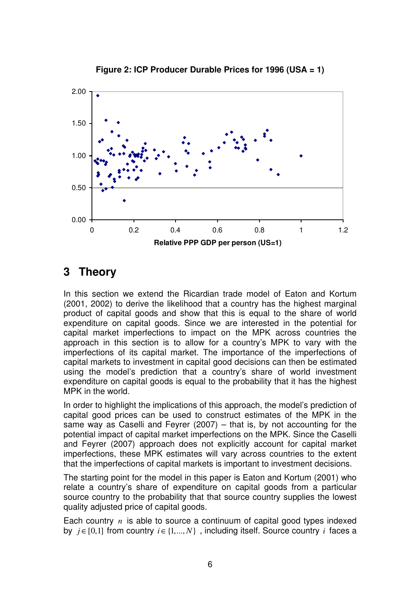

**Figure 2: ICP Producer Durable Prices for 1996 (USA = 1)** 

### **3 Theory**

In this section we extend the Ricardian trade model of Eaton and Kortum (2001, 2002) to derive the likelihood that a country has the highest marginal product of capital goods and show that this is equal to the share of world expenditure on capital goods. Since we are interested in the potential for capital market imperfections to impact on the MPK across countries the approach in this section is to allow for a country's MPK to vary with the imperfections of its capital market. The importance of the imperfections of capital markets to investment in capital good decisions can then be estimated using the model's prediction that a country's share of world investment expenditure on capital goods is equal to the probability that it has the highest MPK in the world.

In order to highlight the implications of this approach, the model's prediction of capital good prices can be used to construct estimates of the MPK in the same way as Caselli and Feyrer (2007) – that is, by not accounting for the potential impact of capital market imperfections on the MPK. Since the Caselli and Feyrer (2007) approach does not explicitly account for capital market imperfections, these MPK estimates will vary across countries to the extent that the imperfections of capital markets is important to investment decisions.

The starting point for the model in this paper is Eaton and Kortum (2001) who relate a country's share of expenditure on capital goods from a particular source country to the probability that that source country supplies the lowest quality adjusted price of capital goods.

Each country *n* is able to source a continuum of capital good types indexed by  $i \in [0,1]$  from country  $i \in \{1,..., N\}$ , including itself. Source country *i* faces a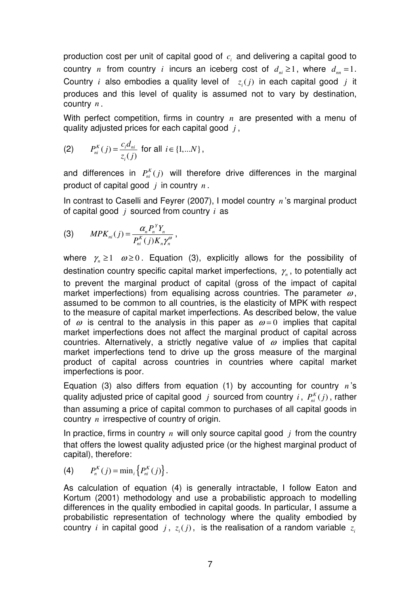production cost per unit of capital good of  $c_i$  and delivering a capital good to country *n* from country *i* incurs an iceberg cost of  $d_m \geq 1$ , where  $d_m = 1$ . Country *i* also embodies a quality level of  $z_i(j)$  in each capital good *j* it produces and this level of quality is assumed not to vary by destination, country *n* .

With perfect competition, firms in country *n* are presented with a menu of quality adjusted prices for each capital good *j* ,

(2) 
$$
P_{ni}^{K}(j) = \frac{c_{i}d_{ni}}{z_{i}(j)}
$$
 for all  $i \in \{1,...N\}$ ,

and differences in  $P_{ni}^{K}(j)$  will therefore drive differences in the marginal product of capital good *j* in country *n* .

In contrast to Caselli and Feyrer (2007), I model country *n* 's marginal product of capital good *j* sourced from country *i* as

(3) 
$$
MPK_{ni}(j) = \frac{\alpha_n P_n^Y Y_n}{P_{ni}^K(j)K_n \gamma_n^{\omega}},
$$

where  $\gamma_n \geq 1$   $\omega \geq 0$ . Equation (3), explicitly allows for the possibility of destination country specific capital market imperfections,  $\gamma_{_n}$ , to potentially act to prevent the marginal product of capital (gross of the impact of capital market imperfections) from equalising across countries. The parameter  $\omega$ , assumed to be common to all countries, is the elasticity of MPK with respect to the measure of capital market imperfections. As described below, the value of  $\omega$  is central to the analysis in this paper as  $\omega = 0$  implies that capital market imperfections does not affect the marginal product of capital across countries. Alternatively, a strictly negative value of  $\omega$  implies that capital market imperfections tend to drive up the gross measure of the marginal product of capital across countries in countries where capital market imperfections is poor.

Equation (3) also differs from equation (1) by accounting for country *n* 's quality adjusted price of capital good *j* sourced from country *i*,  $P_{ni}^{K}(j)$ , rather than assuming a price of capital common to purchases of all capital goods in country *n* irrespective of country of origin.

In practice, firms in country *n* will only source capital good *j* from the country that offers the lowest quality adjusted price (or the highest marginal product of capital), therefore:

(4) 
$$
P_n^K(j) = \min_i \{ P_{ni}^K(j) \}.
$$

As calculation of equation (4) is generally intractable, I follow Eaton and Kortum (2001) methodology and use a probabilistic approach to modelling differences in the quality embodied in capital goods. In particular, I assume a probabilistic representation of technology where the quality embodied by country *i* in capital good  $j$ ,  $z_i(j)$ , is the realisation of a random variable  $z_i$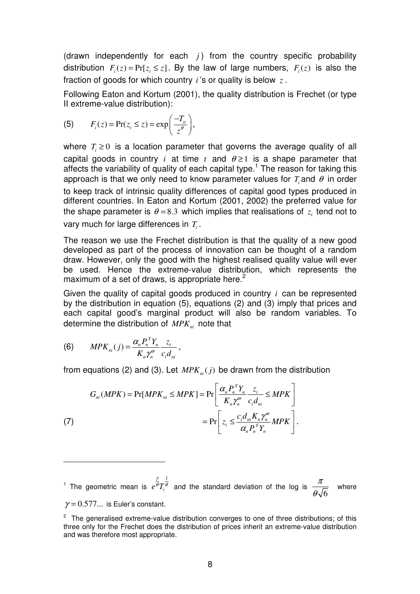(drawn independently for each  $i$ ) from the country specific probability distribution  $F_i(z) = Pr[z_i \leq z]$ . By the law of large numbers,  $F_i(z)$  is also the fraction of goods for which country *i* 's or quality is below *z* .

Following Eaton and Kortum (2001), the quality distribution is Frechet (or type II extreme-value distribution):

(5) 
$$
F_i(z) = \Pr(z_i \leq z) = \exp\left(\frac{-T_{it}}{z^{\theta}}\right),
$$

where  $T_i \geq 0$  is a location parameter that governs the average quality of all capital goods in country *i* at time *t* and  $\theta \ge 1$  is a shape parameter that affects the variability of quality of each capital type.<sup>1</sup> The reason for taking this approach is that we only need to know parameter values for  $T_i$  and  $\theta$  in order to keep track of intrinsic quality differences of capital good types produced in different countries. In Eaton and Kortum (2001, 2002) the preferred value for the shape parameter is  $\theta$  = 8.3 which implies that realisations of  $z_i$  tend not to vary much for large differences in *T<sup>i</sup>* .

The reason we use the Frechet distribution is that the quality of a new good developed as part of the process of innovation can be thought of a random draw. However, only the good with the highest realised quality value will ever be used. Hence the extreme-value distribution, which represents the maximum of a set of draws, is appropriate here. $2$ 

Given the quality of capital goods produced in country *i* can be represented by the distribution in equation (5), equations (2) and (3) imply that prices and each capital good's marginal product will also be random variables. To determine the distribution of *MPKni* note that

(6) 
$$
MPK_{ni}(j) = \frac{\alpha_n P_n^Y Y_n}{K_n \gamma_n^{\omega}} \frac{z_i}{c_i d_{ni}},
$$

 $\overline{a}$ 

from equations (2) and (3). Let  $MPK_{ni}(j)$  be drawn from the distribution

(7) 
$$
G_{ni}(MPK) = \Pr[MPK_{ni} \le MPK] = \Pr\left[\frac{\alpha_n P_n^Y Y_n}{K_n \gamma_n^{\omega}} \frac{z_i}{c_i d_{ni}} \le MPK\right]
$$

$$
= \Pr\left[z_i \le \frac{c_i d_{ni} K_n \gamma_n^{\omega}}{\alpha_n P_n^Y Y_n} MPK\right].
$$

<sup>1</sup> The geometric mean is 1  $e^{\frac{\gamma}{\theta}}T_i^{\frac{1}{\theta}}$  and the standard deviation of the log is 6 π θ where  $\gamma = 0.577...$  is Euler's constant.

<sup>&</sup>lt;sup>2</sup> The generalised extreme-value distribution converges to one of three distributions; of this three only for the Frechet does the distribution of prices inherit an extreme-value distribution and was therefore most appropriate.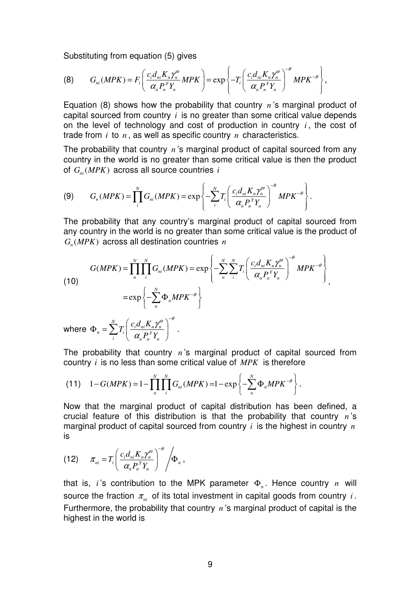Substituting from equation (5) gives

$$
(8) \tG_{ni}(MPK) = F_i \left( \frac{c_i d_{ni} K_n \gamma_n^{\omega}}{\alpha_n P_n^{\gamma} Y_n} M P K \right) = \exp \left\{-T_i \left( \frac{c_i d_{ni} K_n \gamma_n^{\omega}}{\alpha_n P_n^{\gamma} Y_n} \right)^{-\theta} M P K^{-\theta} \right\},
$$

Equation (8) shows how the probability that country *n* 's marginal product of capital sourced from country *i* is no greater than some critical value depends on the level of technology and cost of production in country *i* , the cost of trade from *i* to *n* , as well as specific country *n* characteristics.

The probability that country *n* 's marginal product of capital sourced from any country in the world is no greater than some critical value is then the product of  $G_{ni}(MPK)$  across all source countries *i* 

$$
(9) \tG_n(MPK) = \prod_i^N G_{ni}(MPK) = \exp\left\{-\sum_i^N T_i \left(\frac{c_i d_{ni} K_n \gamma_n^{\omega}}{\alpha_n P_n^{\gamma} Y_n}\right)^{-\theta} MPK^{-\theta}\right\}.
$$

The probability that any country's marginal product of capital sourced from any country in the world is no greater than some critical value is the product of  $G_n(MPK)$  across all destination countries  $n$ 

(10)  
\n
$$
G(MPK) = \prod_{n}^{N} \prod_{i}^{N} G_{ni}(MPK) = \exp\left\{-\sum_{n}^{N} \sum_{i}^{N} T_{i} \left(\frac{c_{i} d_{ni} K_{n} \gamma_{n}^{\omega}}{\alpha_{n} P_{n}^{Y} Y_{n}}\right)^{-\theta} MPK^{-\theta}\right\},\newline = \exp\left\{-\sum_{n}^{N} \Phi_{n} MPK^{-\theta}\right\}
$$

where  $T_n = \sum_{n}^{N} T_i \left( \frac{c_i d_{ni} K_n \gamma_n^{\theta}}{\alpha R_i^Y V_n} \right)$  $i \left( u_n I_n I_n \right)$  $T_i\left(\frac{c_i d_{ni} K}{R_i}\right)$  $P_n^{\ Y}Y$  $\gamma_{n}^{\omega}$   $\big)^{-\theta}$ α  $\Phi_n = \sum_i^N T_i \left( \frac{c_i d_{ni} K_n \gamma_n^{\omega}}{\alpha_n P_n^{\gamma} Y_n} \right)^{-\theta} .$ 

The probability that country *n* 's marginal product of capital sourced from country *i* is no less than some critical value of *MPK* is therefore

(11) 
$$
1 - G(MPK) = 1 - \prod_{n=1}^{N} \prod_{i=1}^{N} G_{ni}(MPK) = 1 - \exp\left\{-\sum_{n=1}^{N} \Phi_n MPK^{-\theta}\right\}.
$$

Now that the marginal product of capital distribution has been defined, a crucial feature of this distribution is that the probability that country *n* 's marginal product of capital sourced from country *i* is the highest in country *n* is

(12) 
$$
\pi_{ni} = T_i \left( \frac{c_i d_{ni} K_n \gamma_n^{\omega}}{\alpha_n P_n^{\gamma} Y_n} \right)^{-\theta} / \Phi_n ,
$$

that is, *i* 's contribution to the MPK parameter Φ*<sup>n</sup>* . Hence country *n* will source the fraction  $\pi_{ni}$  of its total investment in capital goods from country *i*. Furthermore, the probability that country *n* 's marginal product of capital is the highest in the world is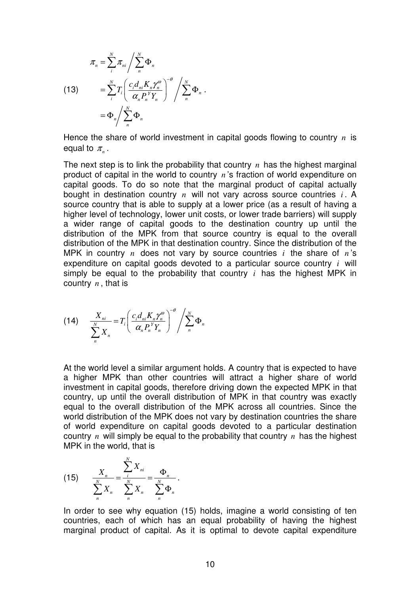(13) 
$$
\pi_n = \sum_{i}^{N} \pi_{ni} / \sum_{n}^{N} \Phi_n
$$

$$
= \sum_{i}^{N} T_i \left( \frac{c_i d_{ni} K_n \gamma_n^{\omega}}{\alpha_n P_n^{\gamma} Y_n} \right)^{-\theta} / \sum_{n}^{N} \Phi_n.
$$

$$
= \Phi_n / \sum_{n}^{N} \Phi_n
$$

Hence the share of world investment in capital goods flowing to country *n* is equal to  $\pi_{\sf n}$  .

The next step is to link the probability that country *n* has the highest marginal product of capital in the world to country *n* 's fraction of world expenditure on capital goods. To do so note that the marginal product of capital actually bought in destination country *n* will not vary across source countries *i* . A source country that is able to supply at a lower price (as a result of having a higher level of technology, lower unit costs, or lower trade barriers) will supply a wider range of capital goods to the destination country up until the distribution of the MPK from that source country is equal to the overall distribution of the MPK in that destination country. Since the distribution of the MPK in country *n* does not vary by source countries *i* the share of *n* 's expenditure on capital goods devoted to a particular source country *i* will simply be equal to the probability that country *i* has the highest MPK in country *n* , that is

$$
(14) \qquad \frac{X_{ni}}{\sum\limits_{n}^{N} X_{n}} = T_{i} \left( \frac{c_{i} d_{ni} K_{n} \gamma_{n}^{\omega}}{\alpha_{n} P_{n}^{\gamma} Y_{n}} \right)^{-\theta} / \sum\limits_{n}^{N} \Phi_{n}
$$

At the world level a similar argument holds. A country that is expected to have a higher MPK than other countries will attract a higher share of world investment in capital goods, therefore driving down the expected MPK in that country, up until the overall distribution of MPK in that country was exactly equal to the overall distribution of the MPK across all countries. Since the world distribution of the MPK does not vary by destination countries the share of world expenditure on capital goods devoted to a particular destination country *n* will simply be equal to the probability that country *n* has the highest MPK in the world, that is

(15) 
$$
\frac{X_n}{\sum_{n=1}^{N} X_n} = \frac{\sum_{i=1}^{N} X_{ni}}{\sum_{n=1}^{N} X_n} = \frac{\Phi_n}{\sum_{n=1}^{N} \Phi_n}.
$$

In order to see why equation (15) holds, imagine a world consisting of ten countries, each of which has an equal probability of having the highest marginal product of capital. As it is optimal to devote capital expenditure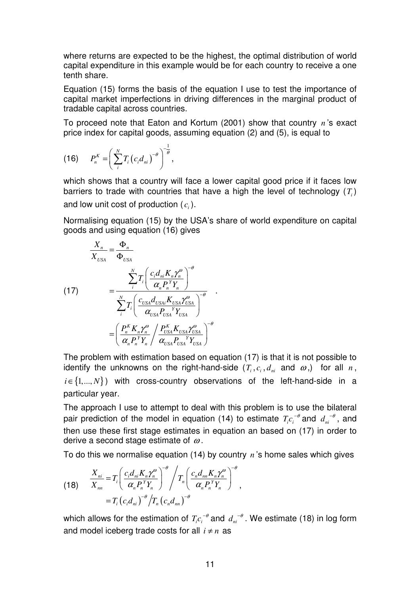where returns are expected to be the highest, the optimal distribution of world capital expenditure in this example would be for each country to receive a one tenth share.

Equation (15) forms the basis of the equation I use to test the importance of capital market imperfections in driving differences in the marginal product of tradable capital across countries.

To proceed note that Eaton and Kortum (2001) show that country *n* 's exact price index for capital goods, assuming equation (2) and (5), is equal to

(16) 
$$
P_n^K = \left(\sum_{i}^{N} T_i (c_i d_{ni})^{-\theta}\right)^{-\frac{1}{\theta}},
$$

which shows that a country will face a lower capital good price if it faces low barriers to trade with countries that have a high the level of technology (*T<sup>i</sup>* ) and low unit cost of production  $(c_i)$ .

Normalising equation (15) by the USA's share of world expenditure on capital goods and using equation (16) gives

$$
\frac{X_n}{X_{USA}} = \frac{\Phi_n}{\Phi_{USA}}
$$
\n(17)\n
$$
= \frac{\sum_{i}^{N} T_i \left( \frac{c_i d_{ni} K_n \gamma_n^{\omega}}{\alpha_n P_n^{\gamma} Y_n} \right)^{-\theta}}{\sum_{i}^{N} T_i \left( \frac{c_{USA} d_{USA} K_{USA} \gamma_{USA}}{\alpha_{USA} P_{USA}^{\gamma} Y_{USA}} \right)^{-\theta}}
$$
\n
$$
= \left( \frac{P_n^K K_n \gamma_n^{\omega}}{\alpha_n P_n^{\gamma} Y_n} / \frac{P_{USA}^K K_{USA} \gamma_{USA}^{\omega}}{\alpha_{USA} P_{USA}^{\gamma} Y_{USA}} \right)^{-\theta}
$$

The problem with estimation based on equation (17) is that it is not possible to identify the unknowns on the right-hand-side  $(T_i, c_i, d_m$  and  $\omega$ ,) for all  $n$ ,  $i \in \{1,..., N\}$ ) with cross-country observations of the left-hand-side in a particular year.

The approach I use to attempt to deal with this problem is to use the bilateral pair prediction of the model in equation (14) to estimate  $T_i c_i^{-\theta}$  and  $d_{ni}^{-\theta}$ , and then use these first stage estimates in equation an based on (17) in order to derive a second stage estimate of  $\omega$ .

To do this we normalise equation (14) by country *n* 's home sales which gives

(18) 
$$
\frac{X_{ni}}{X_{nn}} = T_i \left( \frac{c_i d_{ni} K_n \gamma_n^{\omega}}{\alpha_n P_n^Y Y_n} \right)^{-\theta} / T_n \left( \frac{c_n d_{nn} K_n \gamma_n^{\omega}}{\alpha_n P_n^Y Y_n} \right)^{-\theta}
$$

$$
= T_i \left( c_i d_{ni} \right)^{-\theta} / T_n \left( c_n d_{nn} \right)^{-\theta}
$$

which allows for the estimation of  $T_i c_i^{-\theta}$  and  $d_{ni}^{-\theta}$ . We estimate (18) in log form and model iceberg trade costs for all  $i \neq n$  as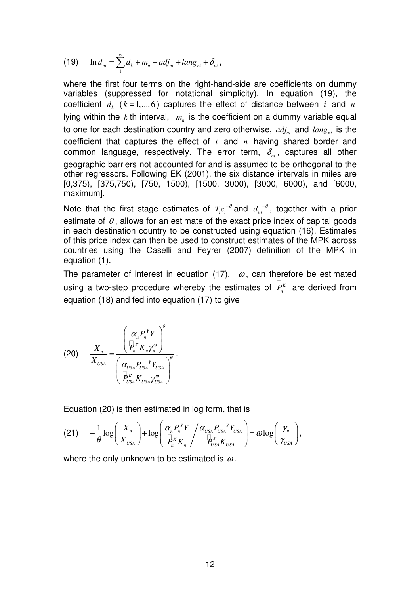(19) 
$$
\ln d_{ni} = \sum_{1}^{6} d_k + m_n + adj_{ni} + lang_{ni} + \delta_{ni},
$$

where the first four terms on the right-hand-side are coefficients on dummy variables (suppressed for notational simplicity). In equation (19), the coefficient  $d_k$  ( $k = 1,...,6$ ) captures the effect of distance between *i* and *n* lying within the *k* th interval, *m<sup>n</sup>* is the coefficient on a dummy variable equal to one for each destination country and zero otherwise,  $adj_{ni}$  and  $lang_{ni}$  is the coefficient that captures the effect of *i* and *n* having shared border and common language, respectively. The error term,  $\delta_{n}$ , captures all other geographic barriers not accounted for and is assumed to be orthogonal to the other regressors. Following EK (2001), the six distance intervals in miles are [0,375), [375,750), [750, 1500), [1500, 3000), [3000, 6000), and [6000, maximum].

Note that the first stage estimates of  $T_i c_i^{-\theta}$  and  $d_{ni}^{-\theta}$ , together with a prior estimate of  $\theta$ , allows for an estimate of the exact price index of capital goods in each destination country to be constructed using equation (16). Estimates of this price index can then be used to construct estimates of the MPK across countries using the Caselli and Feyrer (2007) definition of the MPK in equation (1).

The parameter of interest in equation (17),  $\omega$ , can therefore be estimated using a two-step procedure whereby the estimates of  $P_n^K$  are derived from equation (18) and fed into equation (17) to give

$$
(20) \qquad \frac{X_n}{X_{USA}} = \frac{\left(\frac{\alpha_n P_n^{\ Y}Y}{P_n^{\ K}K_n\gamma_n^{\omega}}\right)^{\theta}}{\left(\frac{\alpha_{USA} P_{USA}^{\ Y}Y_{USA}}{P_{USA}^{\ K}K_{USA}\gamma_{USA}^{\omega}}\right)^{\theta}}.
$$

Equation (20) is then estimated in log form, that is

$$
(21) \t-\frac{1}{\theta}\log\left(\frac{X_n}{X_{USA}}\right)+\log\left(\frac{\alpha_n P_n^{\ Y}Y}{P_n^{\ K}K_n}\right)\frac{\alpha_{USA} P_{USA}^{\ Y}Y_{USA}}{P_{USA}^{\ K}K_{USA}}\right)=\omega\log\left(\frac{\gamma_n}{\gamma_{USA}}\right),
$$

where the only unknown to be estimated is  $\omega$ .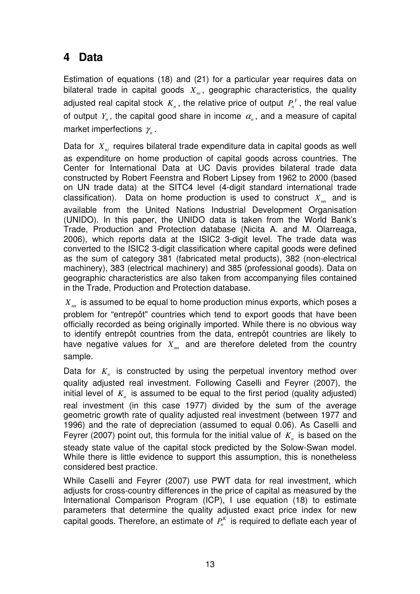### **4 Data**

Estimation of equations (18) and (21) for a particular year requires data on bilateral trade in capital goods *Xni* , geographic characteristics, the quality adjusted real capital stock  $K_n$ , the relative price of output  $P_n^Y$ , the real value of output  $Y_n$ , the capital good share in income  $\alpha_n$ , and a measure of capital market imperfections  $\gamma_{\scriptscriptstyle n}$  .

Data for *Xni* requires bilateral trade expenditure data in capital goods as well as expenditure on home production of capital goods across countries. The Center for International Data at UC Davis provides bilateral trade data constructed by Robert Feenstra and Robert Lipsey from 1962 to 2000 (based on UN trade data) at the SITC4 level (4-digit standard international trade classification). Data on home production is used to construct *Xnn* and is available from the United Nations Industrial Development Organisation (UNIDO). In this paper, the UNIDO data is taken from the World Bank's Trade, Production and Protection database (Nicita A. and M. Olarreaga, 2006), which reports data at the ISIC2 3-digit level. The trade data was converted to the ISIC2 3-digit classification where capital goods were defined as the sum of category 381 (fabricated metal products), 382 (non-electrical machinery), 383 (electrical machinery) and 385 (professional goods). Data on geographic characteristics are also taken from accompanying files contained in the Trade, Production and Protection database.

*Xnn* is assumed to be equal to home production minus exports, which poses a problem for "entrepôt" countries which tend to export goods that have been officially recorded as being originally imported. While there is no obvious way to identify entrepôt countries from the data, entrepôt countries are likely to have negative values for  $X_{nn}$  and are therefore deleted from the country sample.

Data for *K<sup>n</sup>* is constructed by using the perpetual inventory method over quality adjusted real investment. Following Caselli and Feyrer (2007), the initial level of  $K_n$  is assumed to be equal to the first period (quality adjusted) real investment (in this case 1977) divided by the sum of the average geometric growth rate of quality adjusted real investment (between 1977 and 1996) and the rate of depreciation (assumed to equal 0.06). As Caselli and Feyrer (2007) point out, this formula for the initial value of *K<sup>n</sup>* is based on the steady state value of the capital stock predicted by the Solow-Swan model. While there is little evidence to support this assumption, this is nonetheless considered best practice.

While Caselli and Feyrer (2007) use PWT data for real investment, which adjusts for cross-country differences in the price of capital as measured by the International Comparison Program (ICP), I use equation (18) to estimate parameters that determine the quality adjusted exact price index for new capital goods. Therefore, an estimate of  $P_n^K$  is required to deflate each year of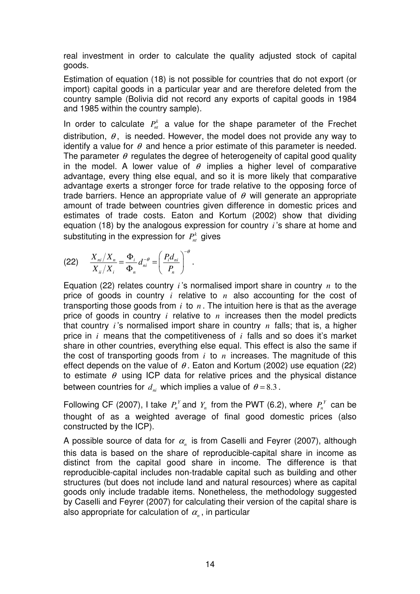real investment in order to calculate the quality adjusted stock of capital goods.

Estimation of equation (18) is not possible for countries that do not export (or import) capital goods in a particular year and are therefore deleted from the country sample (Bolivia did not record any exports of capital goods in 1984 and 1985 within the country sample).

In order to calculate  $P_{nt}^{k}$  a value for the shape parameter of the Frechet distribution,  $\theta$ , is needed. However, the model does not provide any way to identify a value for  $\theta$  and hence a prior estimate of this parameter is needed. The parameter  $\theta$  regulates the degree of heterogeneity of capital good quality in the model. A lower value of  $\theta$  implies a higher level of comparative advantage, every thing else equal, and so it is more likely that comparative advantage exerts a stronger force for trade relative to the opposing force of trade barriers. Hence an appropriate value of  $\theta$  will generate an appropriate amount of trade between countries given difference in domestic prices and estimates of trade costs. Eaton and Kortum (2002) show that dividing equation (18) by the analogous expression for country *i* 's share at home and substituting in the expression for  $P_{nt}^{k}$  gives

$$
(22) \qquad \frac{X_{ni}/X_n}{X_{ii}/X_i} = \frac{\Phi_i}{\Phi_n} d_{ni}^{-\theta} = \left(\frac{P_i d_{ni}}{P_n}\right)^{-\theta}.
$$

Equation (22) relates country *i* 's normalised import share in country *n* to the price of goods in country *i* relative to *n* also accounting for the cost of transporting those goods from *i* to *n* . The intuition here is that as the average price of goods in country *i* relative to *n* increases then the model predicts that country *i* 's normalised import share in country *n* falls; that is, a higher price in *i* means that the competitiveness of *i* falls and so does it's market share in other countries, everything else equal. This effect is also the same if the cost of transporting goods from *i* to *n* increases. The magnitude of this effect depends on the value of  $\theta$ . Eaton and Kortum (2002) use equation (22) to estimate  $\theta$  using ICP data for relative prices and the physical distance between countries for  $d_{ni}$  which implies a value of  $\theta = 8.3$ .

Following CF (2007), I take  $P_n^Y$  and  $Y_n$  from the PWT (6.2), where  $P_n^Y$  can be thought of as a weighted average of final good domestic prices (also constructed by the ICP).

A possible source of data for  $\alpha_{\scriptscriptstyle n}$  is from Caselli and Feyrer (2007), although this data is based on the share of reproducible-capital share in income as distinct from the capital good share in income. The difference is that reproducible-capital includes non-tradable capital such as building and other structures (but does not include land and natural resources) where as capital goods only include tradable items. Nonetheless, the methodology suggested by Caselli and Feyrer (2007) for calculating their version of the capital share is also appropriate for calculation of  $\alpha_{\scriptscriptstyle n}$  , in particular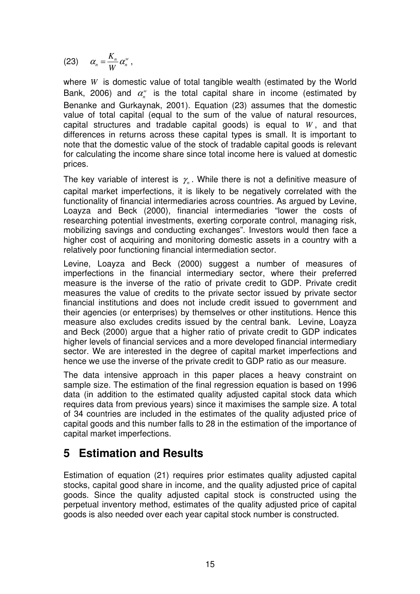$$
(23) \qquad \alpha_n = \frac{K_n}{W} \alpha_n^w,
$$

where *W* is domestic value of total tangible wealth (estimated by the World Bank, 2006) and  $\alpha_n^{\scriptscriptstyle\rm w}$  is the total capital share in income (estimated by Benanke and Gurkaynak, 2001). Equation (23) assumes that the domestic value of total capital (equal to the sum of the value of natural resources, capital structures and tradable capital goods) is equal to *W* , and that differences in returns across these capital types is small. It is important to note that the domestic value of the stock of tradable capital goods is relevant for calculating the income share since total income here is valued at domestic prices.

The key variable of interest is  $\gamma_n$ . While there is not a definitive measure of capital market imperfections, it is likely to be negatively correlated with the functionality of financial intermediaries across countries. As argued by Levine, Loayza and Beck (2000), financial intermediaries "lower the costs of researching potential investments, exerting corporate control, managing risk, mobilizing savings and conducting exchanges". Investors would then face a higher cost of acquiring and monitoring domestic assets in a country with a relatively poor functioning financial intermediation sector.

Levine, Loayza and Beck (2000) suggest a number of measures of imperfections in the financial intermediary sector, where their preferred measure is the inverse of the ratio of private credit to GDP. Private credit measures the value of credits to the private sector issued by private sector financial institutions and does not include credit issued to government and their agencies (or enterprises) by themselves or other institutions. Hence this measure also excludes credits issued by the central bank. Levine, Loayza and Beck (2000) argue that a higher ratio of private credit to GDP indicates higher levels of financial services and a more developed financial intermediary sector. We are interested in the degree of capital market imperfections and hence we use the inverse of the private credit to GDP ratio as our measure.

The data intensive approach in this paper places a heavy constraint on sample size. The estimation of the final regression equation is based on 1996 data (in addition to the estimated quality adjusted capital stock data which requires data from previous years) since it maximises the sample size. A total of 34 countries are included in the estimates of the quality adjusted price of capital goods and this number falls to 28 in the estimation of the importance of capital market imperfections.

#### **5 Estimation and Results**

Estimation of equation (21) requires prior estimates quality adjusted capital stocks, capital good share in income, and the quality adjusted price of capital goods. Since the quality adjusted capital stock is constructed using the perpetual inventory method, estimates of the quality adjusted price of capital goods is also needed over each year capital stock number is constructed.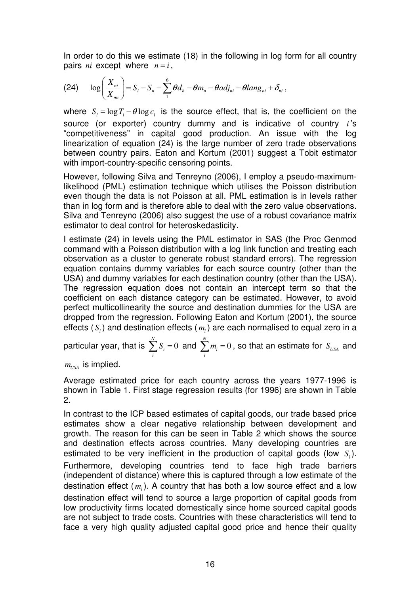In order to do this we estimate (18) in the following in log form for all country pairs *ni* except where  $n = i$ ,

(24) 
$$
\log\left(\frac{X_{ni}}{X_{nn}}\right)=S_i-S_n-\sum_{1}^{6}\theta d_k-\theta m_n-\theta adj_{ni}-\theta lang_{ni}+\delta_{ni},
$$

where  $S_i = \log T_i - \theta \log c_i$  is the source effect, that is, the coefficient on the source (or exporter) country dummy and is indicative of country *i* 's "competitiveness" in capital good production. An issue with the log linearization of equation (24) is the large number of zero trade observations between country pairs. Eaton and Kortum (2001) suggest a Tobit estimator with import-country-specific censoring points.

However, following Silva and Tenreyno (2006), I employ a pseudo-maximumlikelihood (PML) estimation technique which utilises the Poisson distribution even though the data is not Poisson at all. PML estimation is in levels rather than in log form and is therefore able to deal with the zero value observations. Silva and Tenreyno (2006) also suggest the use of a robust covariance matrix estimator to deal control for heteroskedasticity.

I estimate (24) in levels using the PML estimator in SAS (the Proc Genmod command with a Poisson distribution with a log link function and treating each observation as a cluster to generate robust standard errors). The regression equation contains dummy variables for each source country (other than the USA) and dummy variables for each destination country (other than the USA). The regression equation does not contain an intercept term so that the coefficient on each distance category can be estimated. However, to avoid perfect multicollinearity the source and destination dummies for the USA are dropped from the regression. Following Eaton and Kortum (2001), the source effects  $(S_i)$  and destination effects  $(m_i)$  are each normalised to equal zero in a

particular year, that is  $\sum S_i = 0$ *N i i*  $\sum^N S_i = 0$  and  $\sum^N m_i = 0$ *i i*  $\sum m_i = 0$  , so that an estimate for  $S_{USA}$  and

 $m_{\text{IISA}}$  is implied.

Average estimated price for each country across the years 1977-1996 is shown in Table 1. First stage regression results (for 1996) are shown in Table 2.

In contrast to the ICP based estimates of capital goods, our trade based price estimates show a clear negative relationship between development and growth. The reason for this can be seen in Table 2 which shows the source and destination effects across countries. Many developing countries are estimated to be very inefficient in the production of capital goods (low  $S_i$ ). Furthermore, developing countries tend to face high trade barriers (independent of distance) where this is captured through a low estimate of the destination effect ( *m<sup>i</sup>* ). A country that has both a low source effect and a low destination effect will tend to source a large proportion of capital goods from low productivity firms located domestically since home sourced capital goods are not subject to trade costs. Countries with these characteristics will tend to face a very high quality adjusted capital good price and hence their quality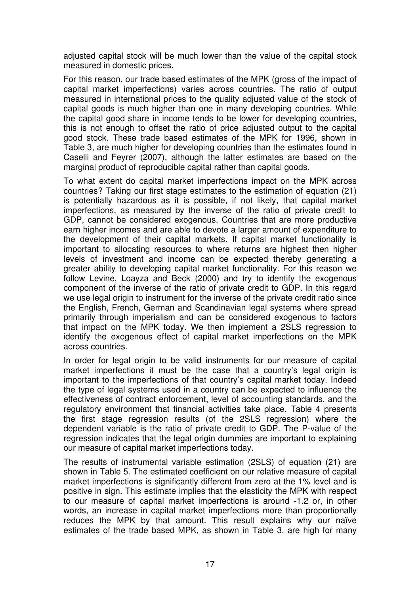adjusted capital stock will be much lower than the value of the capital stock measured in domestic prices.

For this reason, our trade based estimates of the MPK (gross of the impact of capital market imperfections) varies across countries. The ratio of output measured in international prices to the quality adjusted value of the stock of capital goods is much higher than one in many developing countries. While the capital good share in income tends to be lower for developing countries, this is not enough to offset the ratio of price adjusted output to the capital good stock. These trade based estimates of the MPK for 1996, shown in Table 3, are much higher for developing countries than the estimates found in Caselli and Feyrer (2007), although the latter estimates are based on the marginal product of reproducible capital rather than capital goods.

To what extent do capital market imperfections impact on the MPK across countries? Taking our first stage estimates to the estimation of equation (21) is potentially hazardous as it is possible, if not likely, that capital market imperfections, as measured by the inverse of the ratio of private credit to GDP, cannot be considered exogenous. Countries that are more productive earn higher incomes and are able to devote a larger amount of expenditure to the development of their capital markets. If capital market functionality is important to allocating resources to where returns are highest then higher levels of investment and income can be expected thereby generating a greater ability to developing capital market functionality. For this reason we follow Levine, Loayza and Beck (2000) and try to identify the exogenous component of the inverse of the ratio of private credit to GDP. In this regard we use legal origin to instrument for the inverse of the private credit ratio since the English, French, German and Scandinavian legal systems where spread primarily through imperialism and can be considered exogenous to factors that impact on the MPK today. We then implement a 2SLS regression to identify the exogenous effect of capital market imperfections on the MPK across countries.

In order for legal origin to be valid instruments for our measure of capital market imperfections it must be the case that a country's legal origin is important to the imperfections of that country's capital market today. Indeed the type of legal systems used in a country can be expected to influence the effectiveness of contract enforcement, level of accounting standards, and the regulatory environment that financial activities take place. Table 4 presents the first stage regression results (of the 2SLS regression) where the dependent variable is the ratio of private credit to GDP. The P-value of the regression indicates that the legal origin dummies are important to explaining our measure of capital market imperfections today.

The results of instrumental variable estimation (2SLS) of equation (21) are shown in Table 5. The estimated coefficient on our relative measure of capital market imperfections is significantly different from zero at the 1% level and is positive in sign. This estimate implies that the elasticity the MPK with respect to our measure of capital market imperfections is around -1.2 or, in other words, an increase in capital market imperfections more than proportionally reduces the MPK by that amount. This result explains why our naïve estimates of the trade based MPK, as shown in Table 3, are high for many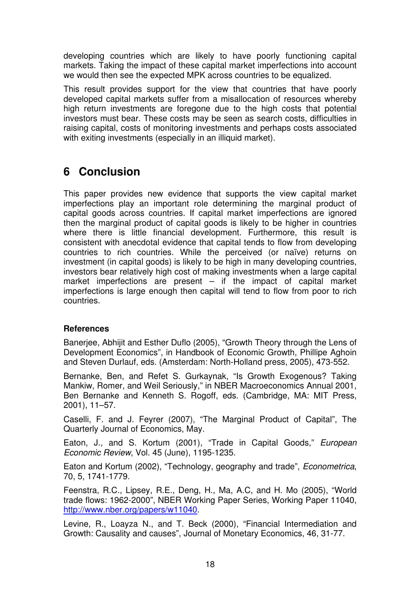developing countries which are likely to have poorly functioning capital markets. Taking the impact of these capital market imperfections into account we would then see the expected MPK across countries to be equalized.

This result provides support for the view that countries that have poorly developed capital markets suffer from a misallocation of resources whereby high return investments are foregone due to the high costs that potential investors must bear. These costs may be seen as search costs, difficulties in raising capital, costs of monitoring investments and perhaps costs associated with exiting investments (especially in an illiquid market).

## **6 Conclusion**

This paper provides new evidence that supports the view capital market imperfections play an important role determining the marginal product of capital goods across countries. If capital market imperfections are ignored then the marginal product of capital goods is likely to be higher in countries where there is little financial development. Furthermore, this result is consistent with anecdotal evidence that capital tends to flow from developing countries to rich countries. While the perceived (or naïve) returns on investment (in capital goods) is likely to be high in many developing countries, investors bear relatively high cost of making investments when a large capital market imperfections are present – if the impact of capital market imperfections is large enough then capital will tend to flow from poor to rich countries.

#### **References**

Banerjee, Abhijit and Esther Duflo (2005), "Growth Theory through the Lens of Development Economics", in Handbook of Economic Growth, Phillipe Aghoin and Steven Durlauf, eds. (Amsterdam: North-Holland press, 2005), 473-552.

Bernanke, Ben, and Refet S. Gurkaynak, "Is Growth Exogenous? Taking Mankiw, Romer, and Weil Seriously," in NBER Macroeconomics Annual 2001, Ben Bernanke and Kenneth S. Rogoff, eds. (Cambridge, MA: MIT Press, 2001), 11–57.

Caselli, F. and J. Feyrer (2007), "The Marginal Product of Capital", The Quarterly Journal of Economics, May.

Eaton, J., and S. Kortum (2001), "Trade in Capital Goods," European Economic Review, Vol. 45 (June), 1195-1235.

Eaton and Kortum (2002), "Technology, geography and trade", Econometrica, 70, 5, 1741-1779.

Feenstra, R.C., Lipsey, R.E., Deng, H., Ma, A.C, and H. Mo (2005), "World trade flows: 1962-2000", NBER Working Paper Series, Working Paper 11040, http://www.nber.org/papers/w11040.

Levine, R., Loayza N., and T. Beck (2000), "Financial Intermediation and Growth: Causality and causes", Journal of Monetary Economics, 46, 31-77.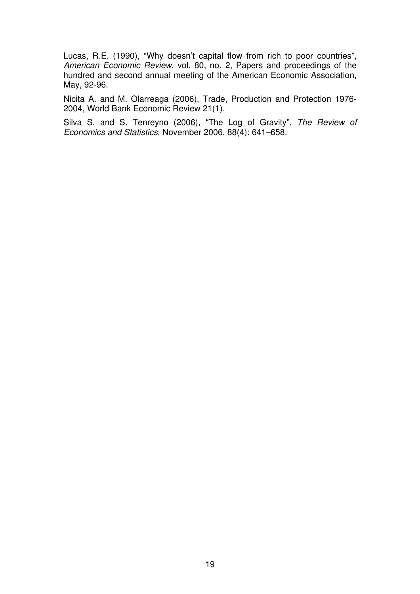Lucas, R.E. (1990), "Why doesn't capital flow from rich to poor countries", American Economic Review, vol. 80, no. 2, Papers and proceedings of the hundred and second annual meeting of the American Economic Association, May, 92-96.

Nicita A. and M. Olarreaga (2006), Trade, Production and Protection 1976- 2004, World Bank Economic Review 21(1).

Silva S. and S. Tenreyno (2006), "The Log of Gravity", The Review of Economics and Statistics, November 2006, 88(4): 641–658.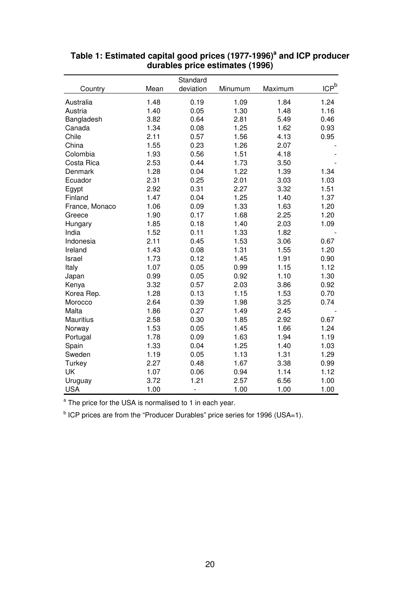|                |      | Standard      |         |         |         |
|----------------|------|---------------|---------|---------|---------|
| Country        | Mean | deviation     | Minumum | Maximum | $ICP^b$ |
| Australia      | 1.48 | 0.19          | 1.09    | 1.84    | 1.24    |
| Austria        | 1.40 | 0.05          | 1.30    | 1.48    | 1.16    |
| Bangladesh     | 3.82 | 0.64          | 2.81    | 5.49    | 0.46    |
| Canada         | 1.34 | 0.08          | 1.25    | 1.62    | 0.93    |
| Chile          | 2.11 | 0.57          | 1.56    | 4.13    | 0.95    |
| China          | 1.55 | 0.23          | 1.26    | 2.07    |         |
| Colombia       | 1.93 | 0.56          | 1.51    | 4.18    |         |
| Costa Rica     | 2.53 | 0.44          | 1.73    | 3.50    |         |
| Denmark        | 1.28 | 0.04          | 1.22    | 1.39    | 1.34    |
| Ecuador        | 2.31 | 0.25          | 2.01    | 3.03    | 1.03    |
| Egypt          | 2.92 | 0.31          | 2.27    | 3.32    | 1.51    |
| Finland        | 1.47 | 0.04          | 1.25    | 1.40    | 1.37    |
| France, Monaco | 1.06 | 0.09          | 1.33    | 1.63    | 1.20    |
| Greece         | 1.90 | 0.17          | 1.68    | 2.25    | 1.20    |
| Hungary        | 1.85 | 0.18          | 1.40    | 2.03    | 1.09    |
| India          | 1.52 | 0.11          | 1.33    | 1.82    |         |
| Indonesia      | 2.11 | 0.45          | 1.53    | 3.06    | 0.67    |
| Ireland        | 1.43 | 0.08          | 1.31    | 1.55    | 1.20    |
| Israel         | 1.73 | 0.12          | 1.45    | 1.91    | 0.90    |
| Italy          | 1.07 | 0.05          | 0.99    | 1.15    | 1.12    |
| Japan          | 0.99 | 0.05          | 0.92    | 1.10    | 1.30    |
| Kenya          | 3.32 | 0.57          | 2.03    | 3.86    | 0.92    |
| Korea Rep.     | 1.28 | 0.13          | 1.15    | 1.53    | 0.70    |
| Morocco        | 2.64 | 0.39          | 1.98    | 3.25    | 0.74    |
| Malta          | 1.86 | 0.27          | 1.49    | 2.45    |         |
| Mauritius      | 2.58 | 0.30          | 1.85    | 2.92    | 0.67    |
| Norway         | 1.53 | 0.05          | 1.45    | 1.66    | 1.24    |
| Portugal       | 1.78 | 0.09          | 1.63    | 1.94    | 1.19    |
| Spain          | 1.33 | 0.04          | 1.25    | 1.40    | 1.03    |
| Sweden         | 1.19 | 0.05          | 1.13    | 1.31    | 1.29    |
| Turkey         | 2.27 | 0.48          | 1.67    | 3.38    | 0.99    |
| UK             | 1.07 | 0.06          | 0.94    | 1.14    | 1.12    |
| Uruguay        | 3.72 | 1.21          | 2.57    | 6.56    | 1.00    |
| <b>USA</b>     | 1.00 | $\frac{1}{2}$ | 1.00    | 1.00    | 1.00    |

#### **Table 1: Estimated capital good prices (1977-1996)<sup>a</sup> and ICP producer durables price estimates (1996)**

<sup>a</sup> The price for the USA is normalised to 1 in each year.

<sup>b</sup> ICP prices are from the "Producer Durables" price series for 1996 (USA=1).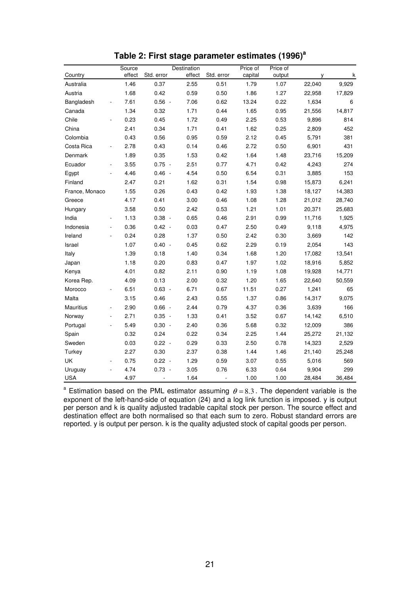|                | Source |                | Destination |                | Price of | Price of |              |        |
|----------------|--------|----------------|-------------|----------------|----------|----------|--------------|--------|
| Country        | effect | Std. error     | effect      | Std. error     | capital  | output   | $\mathsf{V}$ | k      |
| Australia      | 1.46   | 0.37           | 2.55        | 0.51           | 1.79     | 1.07     | 22,040       | 9,929  |
| Austria        | 1.68   | 0.42           | 0.59        | 0.50           | 1.86     | 1.27     | 22,958       | 17,829 |
| Bangladesh     | 7.61   | $0.56 -$       | 7.06        | 0.62           | 13.24    | 0.22     | 1,634        | 6      |
| Canada         | 1.34   | 0.32           | 1.71        | 0.44           | 1.65     | 0.95     | 21,556       | 14,817 |
| Chile          | 0.23   | 0.45           | 1.72        | 0.49           | 2.25     | 0.53     | 9,896        | 814    |
| China          | 2.41   | 0.34           | 1.71        | 0.41           | 1.62     | 0.25     | 2,809        | 452    |
| Colombia       | 0.43   | 0.56           | 0.95        | 0.59           | 2.12     | 0.45     | 5,791        | 381    |
| Costa Rica     | 2.78   | 0.43           | 0.14        | 0.46           | 2.72     | 0.50     | 6,901        | 431    |
| Denmark        | 1.89   | 0.35           | 1.53        | 0.42           | 1.64     | 1.48     | 23,716       | 15,209 |
| Ecuador        | 3.55   | $0.75 -$       | 2.51        | 0.77           | 4.71     | 0.42     | 4,243        | 274    |
| Egypt          | 4.46   | $0.46 -$       | 4.54        | 0.50           | 6.54     | 0.31     | 3,885        | 153    |
| Finland        | 2.47   | 0.21           | 1.62        | 0.31           | 1.54     | 0.98     | 15,873       | 6,241  |
| France, Monaco | 1.55   | 0.26           | 0.43        | 0.42           | 1.93     | 1.38     | 18,127       | 14,383 |
| Greece         | 4.17   | 0.41           | 3.00        | 0.46           | 1.08     | 1.28     | 21,012       | 28,740 |
| Hungary        | 3.58   | 0.50           | 2.42        | 0.53           | 1.21     | 1.01     | 20,371       | 25,683 |
| India          | 1.13   | $0.38 -$       | 0.65        | 0.46           | 2.91     | 0.99     | 11,716       | 1,925  |
| Indonesia      | 0.36   | $0.42 -$       | 0.03        | 0.47           | 2.50     | 0.49     | 9,118        | 4,975  |
| Ireland        | 0.24   | 0.28           | 1.37        | 0.50           | 2.42     | 0.30     | 3,669        | 142    |
| Israel         | 1.07   | $0.40 -$       | 0.45        | 0.62           | 2.29     | 0.19     | 2,054        | 143    |
| Italy          | 1.39   | 0.18           | 1.40        | 0.34           | 1.68     | 1.20     | 17,082       | 13,541 |
| Japan          | 1.18   | 0.20           | 0.83        | 0.47           | 1.97     | 1.02     | 18,916       | 5,852  |
| Kenya          | 4.01   | 0.82           | 2.11        | 0.90           | 1.19     | 1.08     | 19,928       | 14,771 |
| Korea Rep.     | 4.09   | 0.13           | 2.00        | 0.32           | 1.20     | 1.65     | 22,640       | 50,559 |
| Morocco        | 6.51   | $0.63 -$       | 6.71        | 0.67           | 11.51    | 0.27     | 1,241        | 65     |
| Malta          | 3.15   | 0.46           | 2.43        | 0.55           | 1.37     | 0.86     | 14,317       | 9,075  |
| Mauritius      | 2.90   | $0.66 -$       | 2.44        | 0.79           | 4.37     | 0.36     | 3,639        | 166    |
| Norway         | 2.71   | $0.35 -$       | 1.33        | 0.41           | 3.52     | 0.67     | 14,142       | 6,510  |
| Portugal       | 5.49   | $0.30 -$       | 2.40        | 0.36           | 5.68     | 0.32     | 12,009       | 386    |
| Spain          | 0.32   | 0.24           | 0.22        | 0.34           | 2.25     | 1.44     | 25,272       | 21,132 |
| Sweden         | 0.03   | $0.22 -$       | 0.29        | 0.33           | 2.50     | 0.78     | 14,323       | 2,529  |
| Turkey         | 2.27   | 0.30           | 2.37        | 0.38           | 1.44     | 1.46     | 21,140       | 25,248 |
| UK             | 0.75   | $0.22 -$       | 1.29        | 0.59           | 3.07     | 0.55     | 5,016        | 569    |
| Uruguay        | 4.74   | $0.73 -$       | 3.05        | 0.76           | 6.33     | 0.64     | 9,904        | 299    |
| <b>USA</b>     | 4.97   | $\overline{a}$ | 1.64        | $\overline{a}$ | 1.00     | 1.00     | 28,484       | 36,484 |

|  |  |  |  | Table 2: First stage parameter estimates (1996) <sup>a</sup> |  |  |
|--|--|--|--|--------------------------------------------------------------|--|--|
|--|--|--|--|--------------------------------------------------------------|--|--|

<sup>a</sup> Estimation based on the PML estimator assuming  $\theta = 8.3$ . The dependent variable is the exponent of the left-hand-side of equation (24) and a log link function is imposed. y is output per person and k is quality adjusted tradable capital stock per person. The source effect and destination effect are both normalised so that each sum to zero. Robust standard errors are reported. y is output per person. k is the quality adjusted stock of capital goods per person.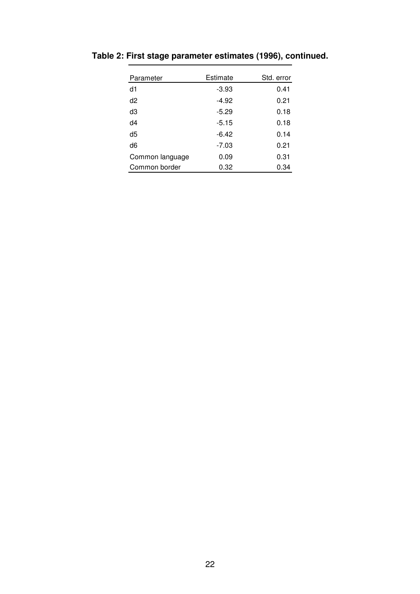| Parameter       | Estimate | Std. error |
|-----------------|----------|------------|
| d1              | $-3.93$  | 0.41       |
| d2              | $-4.92$  | 0.21       |
| dЗ              | $-5.29$  | 0.18       |
| d4              | $-5.15$  | 0.18       |
| d5              | $-6.42$  | 0.14       |
| d6              | $-7.03$  | 0.21       |
| Common language | 0.09     | 0.31       |
| Common border   | 0.32     | 0.34       |

**Table 2: First stage parameter estimates (1996), continued.**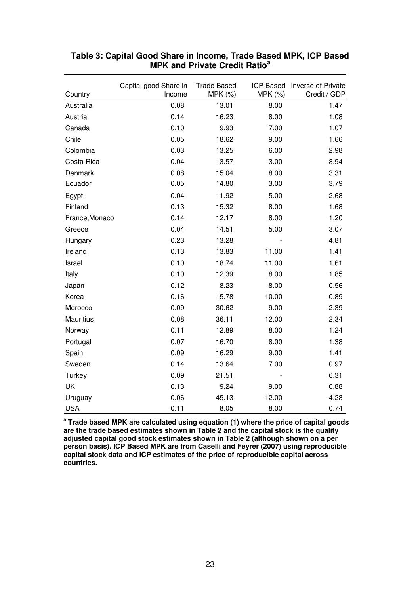| Country        | Capital good Share in<br>Income | <b>Trade Based</b><br>MPK (%) | MPK (%) | ICP Based Inverse of Private<br>Credit / GDP |
|----------------|---------------------------------|-------------------------------|---------|----------------------------------------------|
| Australia      | 0.08                            | 13.01                         | 8.00    | 1.47                                         |
| Austria        | 0.14                            | 16.23                         | 8.00    | 1.08                                         |
| Canada         | 0.10                            | 9.93                          | 7.00    | 1.07                                         |
| Chile          | 0.05                            | 18.62                         | 9.00    | 1.66                                         |
| Colombia       | 0.03                            | 13.25                         | 6.00    | 2.98                                         |
| Costa Rica     | 0.04                            | 13.57                         | 3.00    | 8.94                                         |
| Denmark        | 0.08                            | 15.04                         | 8.00    | 3.31                                         |
| Ecuador        | 0.05                            | 14.80                         | 3.00    | 3.79                                         |
| Egypt          | 0.04                            | 11.92                         | 5.00    | 2.68                                         |
| Finland        | 0.13                            | 15.32                         | 8.00    | 1.68                                         |
| France, Monaco | 0.14                            | 12.17                         | 8.00    | 1.20                                         |
| Greece         | 0.04                            | 14.51                         | 5.00    | 3.07                                         |
| Hungary        | 0.23                            | 13.28                         |         | 4.81                                         |
| Ireland        | 0.13                            | 13.83                         | 11.00   | 1.41                                         |
| Israel         | 0.10                            | 18.74                         | 11.00   | 1.61                                         |
| Italy          | 0.10                            | 12.39                         | 8.00    | 1.85                                         |
| Japan          | 0.12                            | 8.23                          | 8.00    | 0.56                                         |
| Korea          | 0.16                            | 15.78                         | 10.00   | 0.89                                         |
| Morocco        | 0.09                            | 30.62                         | 9.00    | 2.39                                         |
| Mauritius      | 0.08                            | 36.11                         | 12.00   | 2.34                                         |
| Norway         | 0.11                            | 12.89                         | 8.00    | 1.24                                         |
| Portugal       | 0.07                            | 16.70                         | 8.00    | 1.38                                         |
| Spain          | 0.09                            | 16.29                         | 9.00    | 1.41                                         |
| Sweden         | 0.14                            | 13.64                         | 7.00    | 0.97                                         |
| Turkey         | 0.09                            | 21.51                         |         | 6.31                                         |
| UK             | 0.13                            | 9.24                          | 9.00    | 0.88                                         |
| Uruguay        | 0.06                            | 45.13                         | 12.00   | 4.28                                         |
| <b>USA</b>     | 0.11                            | 8.05                          | 8.00    | 0.74                                         |

#### **Table 3: Capital Good Share in Income, Trade Based MPK, ICP Based MPK and Private Credit Ratio<sup>a</sup>**

**a Trade based MPK are calculated using equation (1) where the price of capital goods are the trade based estimates shown in Table 2 and the capital stock is the quality adjusted capital good stock estimates shown in Table 2 (although shown on a per person basis). ICP Based MPK are from Caselli and Feyrer (2007) using reproducible capital stock data and ICP estimates of the price of reproducible capital across countries.**